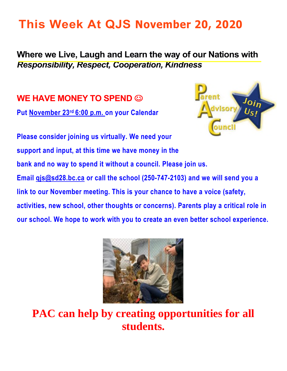# **This Week At QJS November 20, 2020**

#### **Where we Live, Laugh and Learn the way of our Nations with**  *Responsibility, Respect, Cooperation, Kindness*

**WE HAVE MONEY TO SPEND** 

**Put November 23rd 6:00 p.m. on your Calendar** 



**Please consider joining us virtually. We need your support and input, at this time we have money in the bank and no way to spend it without a council. Please join us. Email [qjs@sd28.bc.ca](mailto:qjs@sd28.bc.ca) or call the school (250-747-2103) and we will send you a link to our November meeting. This is your chance to have a voice (safety, activities, new school, other thoughts or concerns). Parents play a critical role in our school. We hope to work with you to create an even better school experience.** 



**PAC can help by creating opportunities for all students.**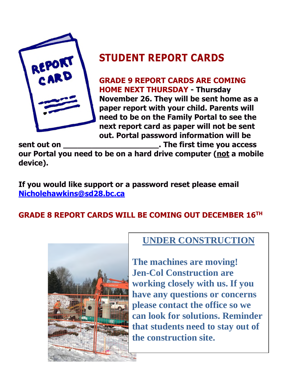

# **STUDENT REPORT CARDS**

**GRADE 9 REPORT CARDS ARE COMING HOME NEXT THURSDAY - Thursday November 26. They will be sent home as a paper report with your child. Parents will need to be on the Family Portal to see the next report card as paper will not be sent out. Portal password information will be** 

**sent out on \_\_\_\_\_\_\_\_\_\_\_\_\_\_\_\_\_\_\_\_. The first time you access our Portal you need to be on a hard drive computer (not a mobile device).** 

**If you would like support or a password reset please email [Nicholehawkins@sd28.bc.ca](mailto:Nicholehawkins@sd28.bc.ca)** 

### **GRADE 8 REPORT CARDS WILL BE COMING OUT DECEMBER 16TH**



#### **UNDER CONSTRUCTION**

**The machines are moving! Jen-Col Construction are working closely with us. If you have any questions or concerns please contact the office so we can look for solutions. Reminder that students need to stay out of the construction site.**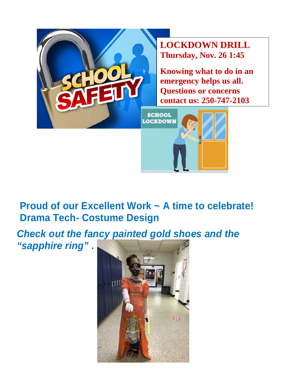

# **Proud of our Excellent Work ~ A time to celebrate! Drama Tech- Costume Design**

*Check out the fancy painted gold shoes and the "sapphire ring"* **.**

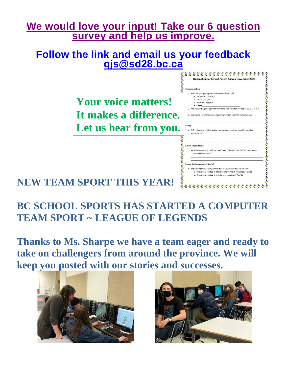## **We would love your input! Take our 6 question survey and help us improve.**

## **Follow the link and email us your feedback [qjs@sd28.bc.ca](mailto:qjs@sd28.bc.ca)**



# **BC SCHOOL SPORTS HAS STARTED A COMPUTER TEAM SPORT ~ LEAGUE OF LEGENDS**

**Thanks to Ms. Sharpe we have a team eager and ready to take on challengers from around the province. We will keep you posted with our stories and successes.** 



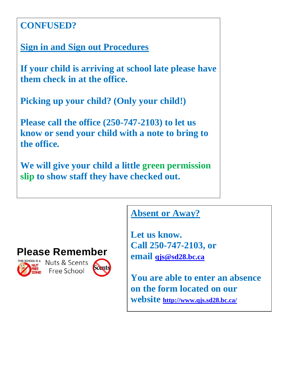## **CONFUSED?**

**Sign in and Sign out Procedures** 

**If your child is arriving at school late please have them check in at the office.** 

**Picking up your child? (Only your child!)** 

**Please call the office (250-747-2103) to let us know or send your child with a note to bring to the office.** 

**We will give your child a little green permission slip to show staff they have checked out.** 

## **Absent or Away?**

**Let us know. Call 250-747-2103, or email [qjs@sd28.bc.ca](mailto:qjs@sd28.bc.ca)**

**You are able to enter an absence on the form located on our website <http://www.qjs.sd28.bc.ca/>**